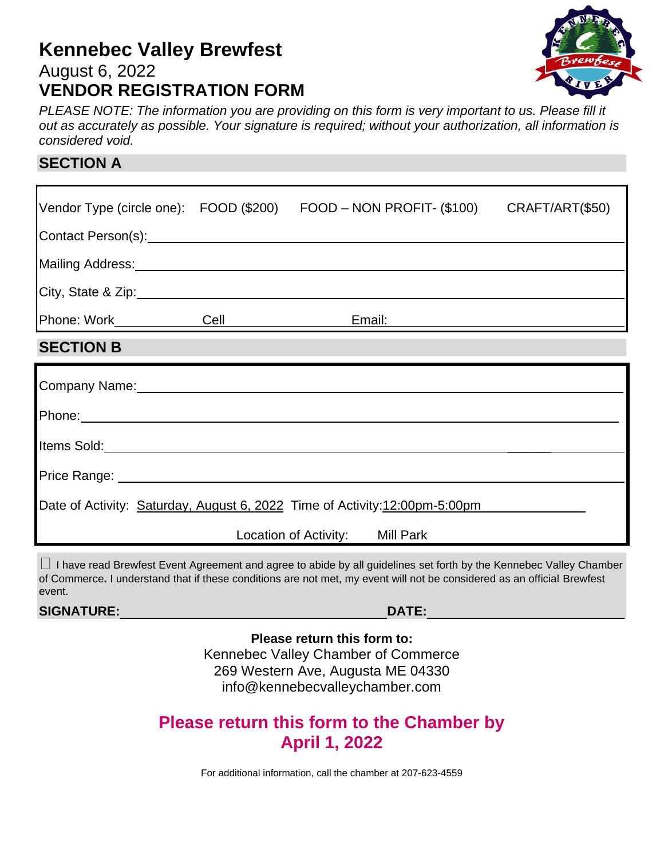# **Kennebec Valley Brewfest** August 6, 2022 **VENDOR REGISTRATION FORM**



*PLEASE NOTE: The information you are providing on this form is very important to us. Please fill it out as accurately as possible. Your signature is required; without your authorization, all information is considered void.*

## **SECTION A**

|                                                                                                                                                                                                                                    |  | Vendor Type (circle one): FOOD (\$200) FOOD - NON PROFIT- (\$100) CRAFT/ART(\$50) |  |
|------------------------------------------------------------------------------------------------------------------------------------------------------------------------------------------------------------------------------------|--|-----------------------------------------------------------------------------------|--|
|                                                                                                                                                                                                                                    |  |                                                                                   |  |
|                                                                                                                                                                                                                                    |  |                                                                                   |  |
|                                                                                                                                                                                                                                    |  |                                                                                   |  |
|                                                                                                                                                                                                                                    |  |                                                                                   |  |
| <b>SECTION B</b>                                                                                                                                                                                                                   |  |                                                                                   |  |
| Company Name: Manual Account of the Company Name:                                                                                                                                                                                  |  |                                                                                   |  |
|                                                                                                                                                                                                                                    |  |                                                                                   |  |
| Items Sold: <u>Alexander Sold:</u> Alexander Sold: Alexander Sold: Alexander Sold: Alexander Sold: Alexander Sold: Alexander Sold: Alexander Sold: Alexander Sold: Alexander Sold: Alexander Sold: Alexander Sold: Alexander Sold: |  |                                                                                   |  |
|                                                                                                                                                                                                                                    |  |                                                                                   |  |
| Date of Activity: Saturday, August 6, 2022 Time of Activity: 12:00pm-5:00pm                                                                                                                                                        |  |                                                                                   |  |
|                                                                                                                                                                                                                                    |  | Location of Activity: Mill Park                                                   |  |

 $\Box$  I have read Brewfest Event Agreement and agree to abide by all guidelines set forth by the Kennebec Valley Chamber of Commerce**.** I understand that if these conditions are not met, my event will not be considered as an official Brewfest event.

#### **SIGNATURE: DATE:**

**Please return this form to:** Kennebec Valley Chamber of Commerce 269 Western Ave, Augusta ME 04330 info@kennebecvalleychamber.com

# **Please return this form to the Chamber by April 1, 2022**

For additional information, call the chamber at 207-623-4559